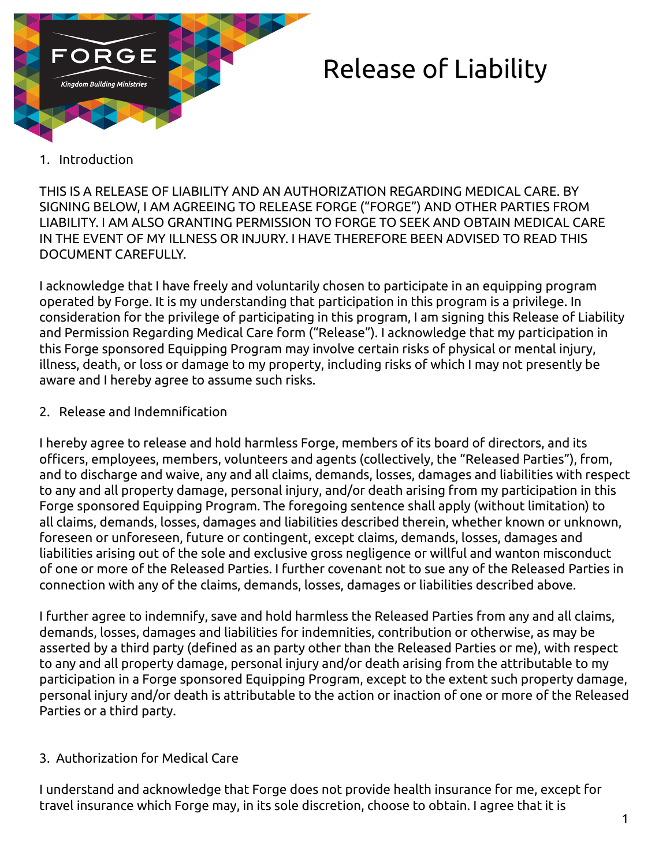

# Release of Liability

## 1. Introduction

THIS IS A RELEASE OF LIABILITY AND AN AUTHORIZATION REGARDING MEDICAL CARE. BY SIGNING BELOW, I AM AGREEING TO RELEASE FORGE ("FORGE") AND OTHER PARTIES FROM LIABILITY. I AM ALSO GRANTING PERMISSION TO FORGE TO SEEK AND OBTAIN MEDICAL CARE IN THE EVENT OF MY ILLNESS OR INJURY. I HAVE THEREFORE BEEN ADVISED TO READ THIS DOCUMENT CAREFULLY.

I acknowledge that I have freely and voluntarily chosen to participate in an equipping program operated by Forge. It is my understanding that participation in this program is a privilege. In consideration for the privilege of participating in this program, I am signing this Release of Liability and Permission Regarding Medical Care form ("Release"). I acknowledge that my participation in this Forge sponsored Equipping Program may involve certain risks of physical or mental injury, illness, death, or loss or damage to my property, including risks of which I may not presently be aware and I hereby agree to assume such risks.

### 2. Release and Indemnification

I hereby agree to release and hold harmless Forge, members of its board of directors, and its officers, employees, members, volunteers and agents (collectively, the "Released Parties"), from, and to discharge and waive, any and all claims, demands, losses, damages and liabilities with respect to any and all property damage, personal injury, and/or death arising from my participation in this Forge sponsored Equipping Program. The foregoing sentence shall apply (without limitation) to all claims, demands, losses, damages and liabilities described therein, whether known or unknown, foreseen or unforeseen, future or contingent, except claims, demands, losses, damages and liabilities arising out of the sole and exclusive gross negligence or willful and wanton misconduct of one or more of the Released Parties. I further covenant not to sue any of the Released Parties in connection with any of the claims, demands, losses, damages or liabilities described above.

I further agree to indemnify, save and hold harmless the Released Parties from any and all claims, demands, losses, damages and liabilities for indemnities, contribution or otherwise, as may be asserted by a third party (defined as an party other than the Released Parties or me), with respect to any and all property damage, personal injury and/or death arising from the attributable to my participation in a Forge sponsored Equipping Program, except to the extent such property damage, personal injury and/or death is attributable to the action or inaction of one or more of the Released Parties or a third party.

# 3. Authorization for Medical Care

I understand and acknowledge that Forge does not provide health insurance for me, except for travel insurance which Forge may, in its sole discretion, choose to obtain. I agree that it is